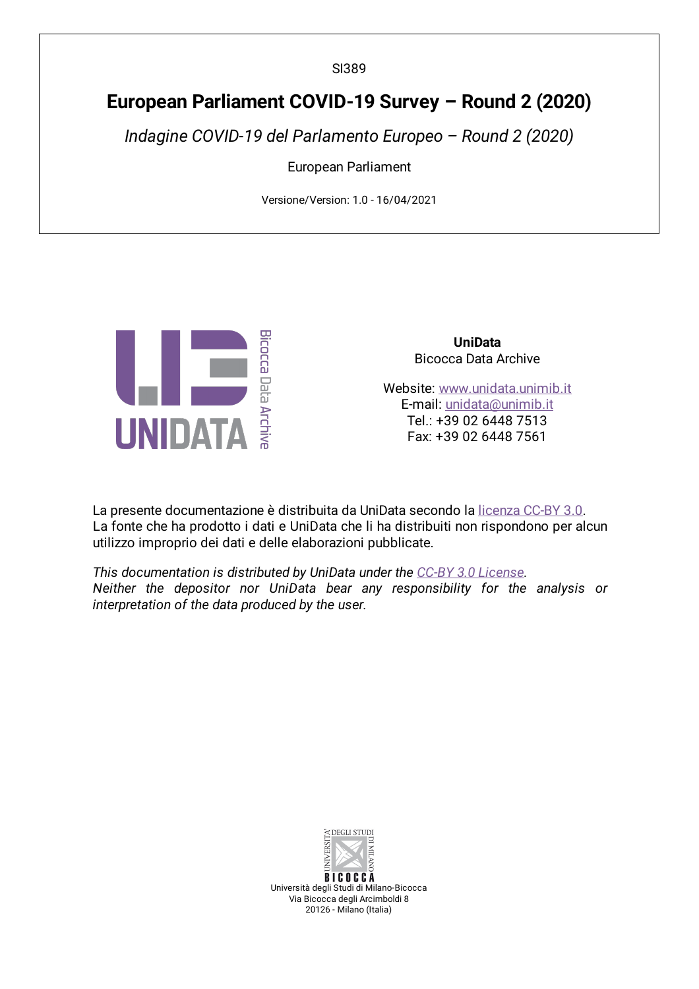SI389

# **European Parliament COVID-19 Survey – Round 2 (2020)**

*Indagine COVID-19 del Parlamento Europeo – Round 2 (2020)*

European Parliament

Versione/Version: 1.0 - 16/04/2021



**UniData** Bicocca Data Archive

Website: [www.unidata.unimib.it](http://www.unidata.unimib.it) E-mail: [unidata@unimib.it](mailto:unidata@unimib.it) Tel.: +39 02 6448 7513 Fax: +39 02 6448 7561

La presente documentazione è distribuita da UniData secondo la [licenza](https://creativecommons.org/licenses/by/3.0/deed.it) CC-BY 3.0. La fonte che ha prodotto i dati e UniData che li ha distribuiti non rispondono per alcun utilizzo improprio dei dati e delle elaborazioni pubblicate.

*This documentation is distributed by UniData under the CC-BY 3.0 [License](https://creativecommons.org/licenses/by/3.0/). Neither the depositor nor UniData bear any responsibility for the analysis or interpretation of the data produced by the user.*



**BICOCCA** Università degli Studi di Milano-Bicocca Via Bicocca degli Arcimboldi 8 20126 - Milano (Italia)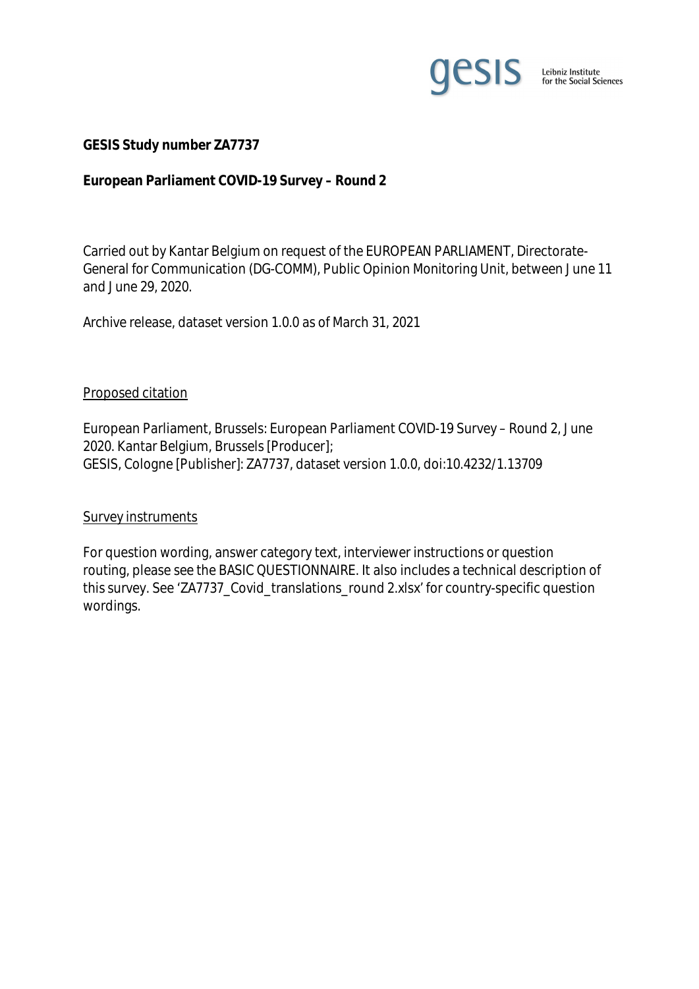

#### **GESIS Study number ZA7737**

**European Parliament COVID-19 Survey – Round 2**

Carried out by Kantar Belgium on request of the EUROPEAN PARLIAMENT, Directorate-General for Communication (DG-COMM), Public Opinion Monitoring Unit, between June 11 and June 29, 2020.

Archive release, dataset version 1.0.0 as of March 31, 2021

#### Proposed citation

European Parliament, Brussels: European Parliament COVID-19 Survey – Round 2, June 2020. Kantar Belgium, Brussels [Producer]; GESIS, Cologne [Publisher]: ZA7737, dataset version 1.0.0, doi:10.4232/1.13709

#### Survey instruments

For question wording, answer category text, interviewer instructions or question routing, please see the BASIC QUESTIONNAIRE. It also includes a technical description of this survey. See 'ZA7737\_Covid\_translations\_round 2.xlsx' for country-specific question wordings.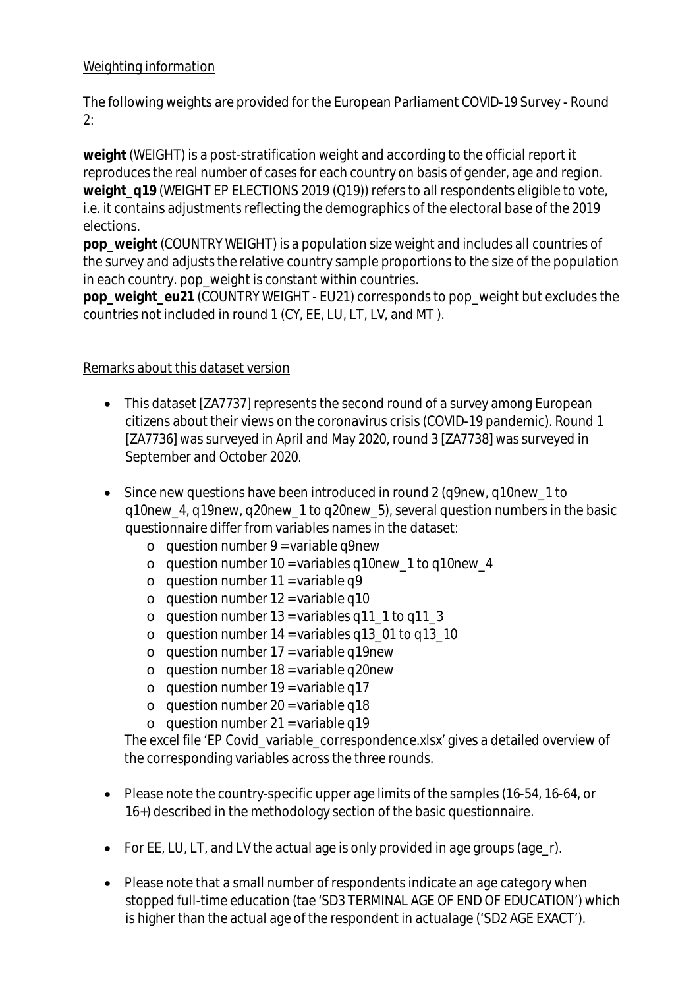## Weighting information

The following weights are provided for the European Parliament COVID-19 Survey - Round 2:

**weight** (WEIGHT) is a post-stratification weight and according to the official report it reproduces the real number of cases for each country on basis of gender, age and region. weight\_q19 (WEIGHT EP ELECTIONS 2019 (Q19)) refers to all respondents eligible to vote, i.e. it contains adjustments reflecting the demographics of the electoral base of the 2019 elections.

**pop\_weight** (COUNTRY WEIGHT) is a population size weight and includes all countries of the survey and adjusts the relative country sample proportions to the size of the population in each country. pop weight is constant within countries.

**pop\_weight\_eu21** (COUNTRY WEIGHT - EU21) corresponds to pop\_weight but excludes the countries not included in round 1 (CY, EE, LU, LT, LV, and MT ).

### Remarks about this dataset version

- This dataset [ZA7737] represents the second round of a survey among European citizens about their views on the coronavirus crisis (COVID-19 pandemic). Round 1 [ZA7736] was surveyed in April and May 2020, round 3 [ZA7738] was surveyed in September and October 2020.
- Since new questions have been introduced in round 2 (q9new, q10new\_1 to q10new\_4, q19new, q20new\_1 to q20new\_5), several question numbers in the basic questionnaire differ from variables names in the dataset:
	- $\circ$  question number 9 = variable q9new
	- $\circ$  question number 10 = variables g10new 1 to g10new 4
	- o question number  $11 = \text{variable } q9$
	- $\circ$  question number 12 = variable q10
	- o question number  $13 =$  variables q11  $\frac{1}{10}$  to q11  $\frac{3}{10}$
	- o question number  $14 = \text{variables } q13_01$  to  $q13_10$
	- $\circ$  question number 17 = variable q19new
	- $\circ$  question number 18 = variable q20new
	- $o$  question number 19 = variable q17
	- $\circ$  question number 20 = variable q18
	- $o$  question number 21 = variable q19

The excel file 'EP Covid\_variable\_correspondence.xlsx' gives a detailed overview of the corresponding variables across the three rounds.

- Please note the country-specific upper age limits of the samples (16-54, 16-64, or 16+) described in the methodology section of the basic questionnaire.
- For EE, LU, LT, and LV the actual age is only provided in age groups (age\_r).
- Please note that a small number of respondents indicate an age category when stopped full-time education (tae 'SD3 TERMINAL AGE OF END OF EDUCATION') which is higher than the actual age of the respondent in actualage ('SD2 AGE EXACT').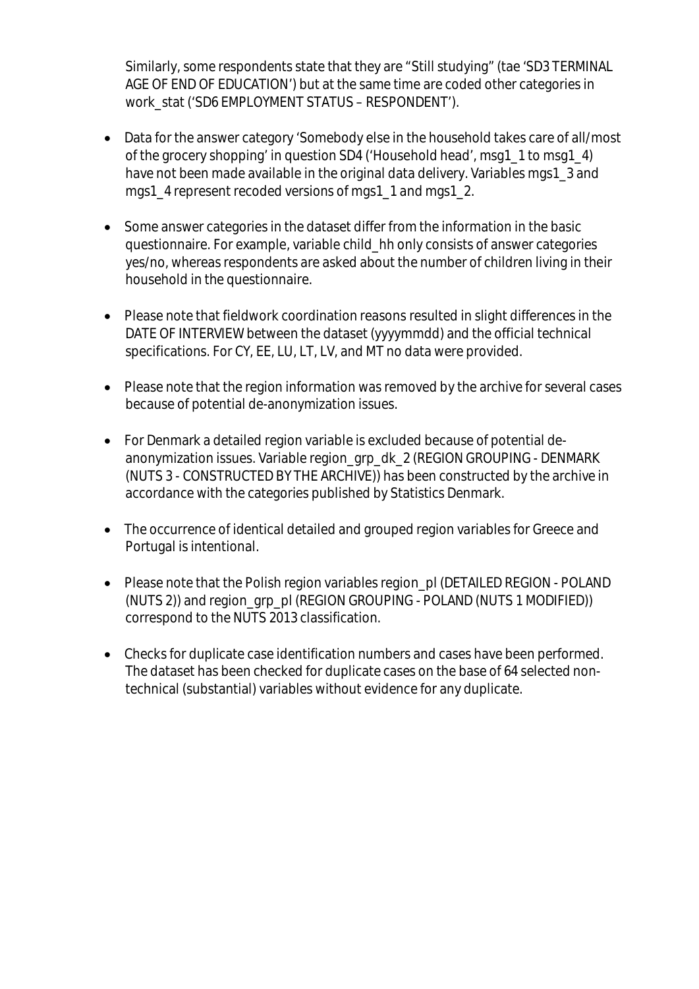Similarly, some respondents state that they are "Still studying" (tae 'SD3 TERMINAL AGE OF END OF EDUCATION') but at the same time are coded other categories in work\_stat ('SD6 EMPLOYMENT STATUS – RESPONDENT').

- Data for the answer category 'Somebody else in the household takes care of all/most of the grocery shopping' in question SD4 ('Household head', msg1\_1 to msg1\_4) have not been made available in the original data delivery. Variables mgs1\_3 and mgs1\_4 represent recoded versions of mgs1\_1 and mgs1\_2.
- Some answer categories in the dataset differ from the information in the basic questionnaire. For example, variable child\_hh only consists of answer categories yes/no, whereas respondents are asked about the number of children living in their household in the questionnaire.
- Please note that fieldwork coordination reasons resulted in slight differences in the DATE OF INTERVIEW between the dataset (yyyymmdd) and the official technical specifications. For CY, EE, LU, LT, LV, and MT no data were provided.
- Please note that the region information was removed by the archive for several cases because of potential de-anonymization issues.
- For Denmark a detailed region variable is excluded because of potential deanonymization issues. Variable region\_grp\_dk\_2 (REGION GROUPING - DENMARK (NUTS 3 - CONSTRUCTED BY THE ARCHIVE)) has been constructed by the archive in accordance with the categories published by Statistics Denmark.
- The occurrence of identical detailed and grouped region variables for Greece and Portugal is intentional.
- Please note that the Polish region variables region pl (DETAILED REGION POLAND (NUTS 2)) and region\_grp\_pl (REGION GROUPING - POLAND (NUTS 1 MODIFIED)) correspond to the NUTS 2013 classification.
- Checks for duplicate case identification numbers and cases have been performed. The dataset has been checked for duplicate cases on the base of 64 selected nontechnical (substantial) variables without evidence for any duplicate.